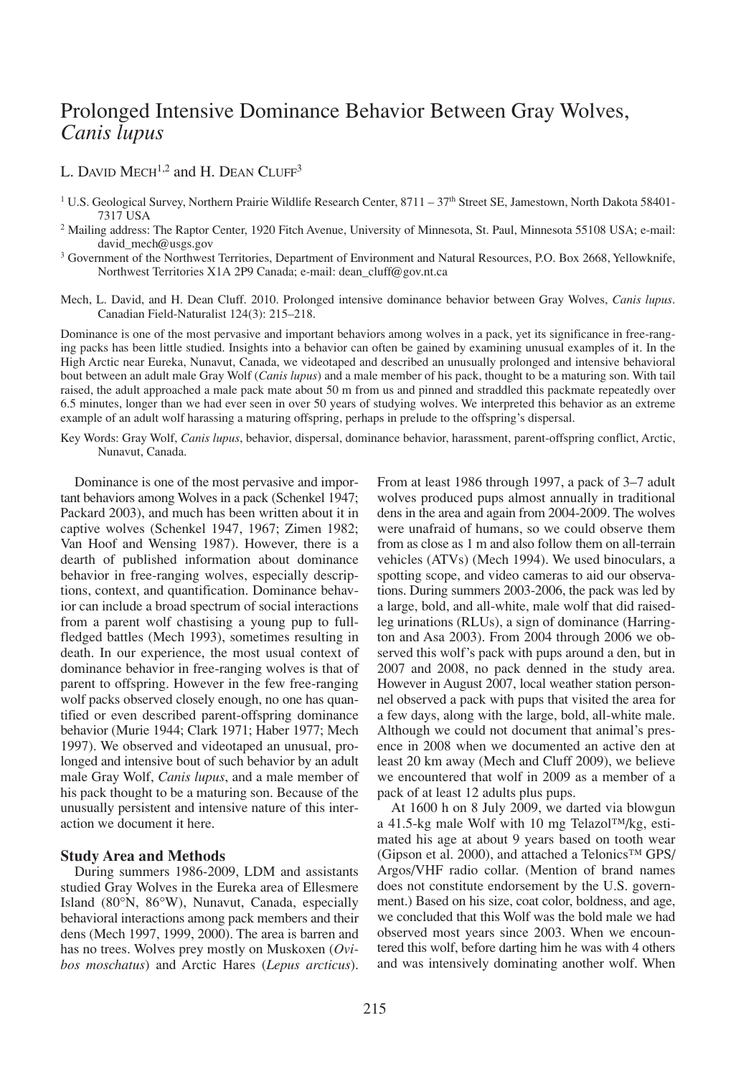# Prolonged Intensive Dominance Behavior Between Gray Wolves, *Canis lupus*

# L. DAVID MECH<sup>1,2</sup> and H. DEAN CLUFF<sup>3</sup>

- <sup>1</sup> U.S. Geological Survey, Northern Prairie Wildlife Research Center,  $8711 37$ <sup>th</sup> Street SE, Jamestown, North Dakota 58401-7317 USA
- <sup>2</sup> Mailing address: The Raptor Center, 1920 Fitch Avenue, University of Minnesota, St. Paul, Minnesota 55108 USA; e-mail: david\_mech@usgs.gov
- <sup>3</sup> Government of the Northwest Territories, Department of Environment and Natural Resources, P.O. Box 2668, Yellowknife, Northwest Territories X1A 2P9 Canada; e-mail: dean\_cluff@gov.nt.ca
- Mech, L. David, and H. Dean Cluff. 2010. Prolonged intensive dominance behavior between Gray Wolves, *Canis lupus*. Canadian Field-Naturalist 124(3): 215–218.

Dominance is one of the most pervasive and important behaviors among wolves in a pack, yet its significance in free-ranging packs has been little studied. Insights into a behavior can often be gained by examining unusual examples of it. In the High Arctic near Eureka, Nunavut, Canada, we videotaped and described an unusually prolonged and intensive behavioral bout between an adult male Gray Wolf (*Canis lupus*) and a male member of his pack, thought to be a maturing son. With tail raised, the adult approached a male pack mate about 50 m from us and pinned and straddled this packmate repeatedly over 6.5 minutes, longer than we had ever seen in over 50 years of studying wolves. We interpreted this behavior as an extreme example of an adult wolf harassing a maturing offspring, perhaps in prelude to the offspring's dispersal.

Key Words: Gray Wolf, *Canis lupus*, behavior, dispersal, dominance behavior, harassment, parent-offspring conflict, Arctic, Nunavut, Canada.

Dominance is one of the most pervasive and important behaviors among Wolves in a pack (Schenkel 1947; Packard 2003), and much has been written about it in captive wolves (Schenkel 1947, 1967; Zimen 1982; Van Hoof and Wensing 1987). However, there is a dearth of published information about dominance behavior in free-ranging wolves, especially descriptions, context, and quantification. Dominance behavior can include a broad spectrum of social interactions from a parent wolf chastising a young pup to fullfledged battles (Mech 1993), sometimes resulting in death. In our experience, the most usual context of dominance behavior in free-ranging wolves is that of parent to offspring. However in the few free-ranging wolf packs observed closely enough, no one has quantified or even described parent-offspring dominance behavior (Murie 1944; Clark 1971; Haber 1977; Mech 1997). We observed and videotaped an unusual, prolonged and intensive bout of such behavior by an adult male Gray Wolf, *Canis lupus*, and a male member of his pack thought to be a maturing son. Because of the unusually persistent and intensive nature of this interaction we document it here.

## **Study Area and Methods**

During summers 1986-2009, LDM and assistants studied Gray Wolves in the Eureka area of Ellesmere Island (80°N, 86°W), Nunavut, Canada, especially behavioral interactions among pack members and their dens (Mech 1997, 1999, 2000). The area is barren and has no trees. Wolves prey mostly on Muskoxen (*Ovibos moschatus*) and Arctic Hares (*Lepus arcticus*).

From at least 1986 through 1997, a pack of 3–7 adult wolves produced pups almost annually in traditional dens in the area and again from 2004-2009. The wolves were unafraid of humans, so we could observe them from as close as 1 m and also follow them on all-terrain vehicles (ATVs) (Mech 1994). We used binoculars, a spotting scope, and video cameras to aid our observations. During summers 2003-2006, the pack was led by a large, bold, and all-white, male wolf that did raisedleg urinations (RLUs), a sign of dominance (Harrington and Asa 2003). From 2004 through 2006 we observed this wolf's pack with pups around a den, but in 2007 and 2008, no pack denned in the study area. However in August 2007, local weather station personnel observed a pack with pups that visited the area for a few days, along with the large, bold, all-white male. Although we could not document that animal's presence in 2008 when we documented an active den at least 20 km away (Mech and Cluff 2009), we believe we encountered that wolf in 2009 as a member of a pack of at least 12 adults plus pups.

At 1600 h on 8 July 2009, we darted via blowgun a 41.5-kg male Wolf with 10 mg Telazol™/kg, estimated his age at about 9 years based on tooth wear (Gipson et al. 2000), and attached a Telonics<sup>™</sup> GPS/ Argos/VHF radio collar. (Mention of brand names does not constitute endorsement by the U.S. government.) Based on his size, coat color, boldness, and age, we concluded that this Wolf was the bold male we had observed most years since 2003. When we encountered this wolf, before darting him he was with 4 others and was intensively dominating another wolf. When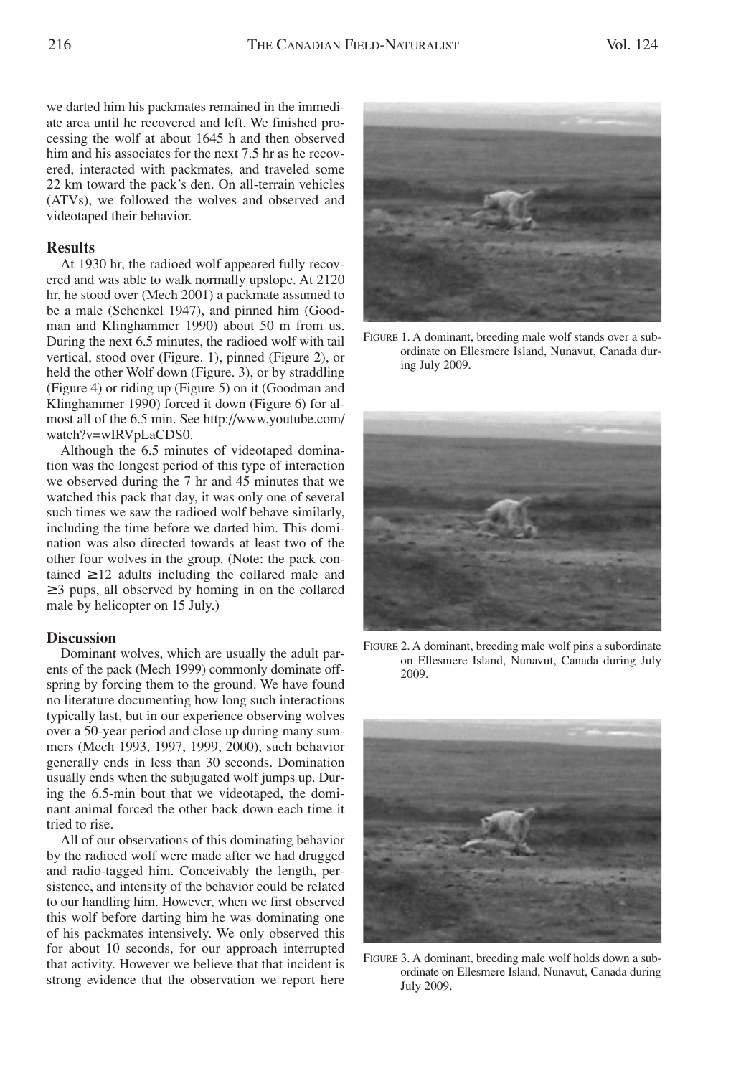we darted him his packmates remained in the immediate area until he recovered and left. We finished processing the wolf at about 1645 h and then observed him and his associates for the next 7.5 hr as he recovered, interacted with packmates, and traveled some 22 km toward the pack's den. On all-terrain vehicles (ATVs), we followed the wolves and observed and videotaped their behavior.

# **Results**

At 1930 hr, the radioed wolf appeared fully recovered and was able to walk normally upslope. At 2120 hr, he stood over (Mech 2001) a packmate assumed to be a male (Schenkel 1947), and pinned him (Goodman and Klinghammer 1990) about 50 m from us. During the next 6.5 minutes, the radioed wolf with tail vertical, stood over (Figure. 1), pinned (Figure 2), or held the other Wolf down (Figure. 3), or by straddling (Figure 4) or riding up (Figure 5) on it (Goodman and Klinghammer 1990) forced it down (Figure 6) for almost all of the 6.5 min. See http://www.youtube.com/ watch?v=wIRVpLaCDS0.

Although the 6.5 minutes of videotaped domination was the longest period of this type of interaction we observed during the 7 hr and 45 minutes that we watched this pack that day, it was only one of several such times we saw the radioed wolf behave similarly, including the time before we darted him. This domination was also directed towards at least two of the other four wolves in the group. (Note: the pack contained  $\geq$  12 adults including the collared male and ≥ 3 pups, all observed by homing in on the collared male by helicopter on 15 July.)

# **Discussion**

Dominant wolves, which are usually the adult parents of the pack (Mech 1999) commonly dominate offspring by forcing them to the ground. We have found no literature documenting how long such interactions typically last, but in our experience observing wolves over a 50-year period and close up during many summers (Mech 1993, 1997, 1999, 2000), such behavior generally ends in less than 30 seconds. Domination usually ends when the subjugated wolf jumps up. During the 6.5-min bout that we videotaped, the dominant animal forced the other back down each time it tried to rise.

All of our observations of this dominating behavior by the radioed wolf were made after we had drugged and radio-tagged him. Conceivably the length, persistence, and intensity of the behavior could be related to our handling him. However, when we first observed this wolf before darting him he was dominating one of his packmates intensively. We only observed this for about 10 seconds, for our approach interrupted that activity. However we believe that that incident is strong evidence that the observation we report here



FIGURE 1. A dominant, breeding male wolf stands over a subordinate on Ellesmere Island, Nunavut, Canada during July 2009.



FIGURE 2. A dominant, breeding male wolf pins a subordinate on Ellesmere Island, Nunavut, Canada during July 2009.



FIGURE 3. A dominant, breeding male wolf holds down a subordinate on Ellesmere Island, Nunavut, Canada during July 2009.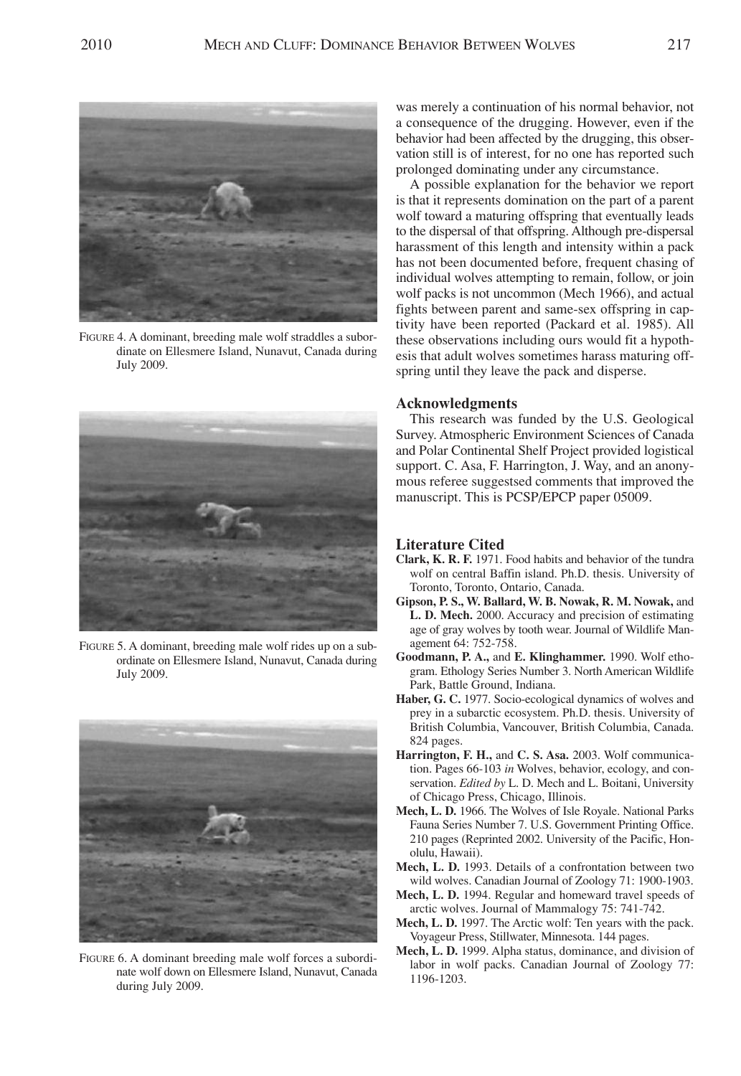

FIGURE 4. A dominant, breeding male wolf straddles a subordinate on Ellesmere Island, Nunavut, Canada during July 2009.



FIGURE 5. A dominant, breeding male wolf rides up on a subordinate on Ellesmere Island, Nunavut, Canada during July 2009.



FIGURE 6. A dominant breeding male wolf forces a subordinate wolf down on Ellesmere Island, Nunavut, Canada during July 2009.

was merely a continuation of his normal behavior, not a consequence of the drugging. However, even if the behavior had been affected by the drugging, this observation still is of interest, for no one has reported such prolonged dominating under any circumstance.

A possible explanation for the behavior we report is that it represents domination on the part of a parent wolf toward a maturing offspring that eventually leads to the dispersal of that offspring. Although pre-dispersal harassment of this length and intensity within a pack has not been documented before, frequent chasing of individual wolves attempting to remain, follow, or join wolf packs is not uncommon (Mech 1966), and actual fights between parent and same-sex offspring in captivity have been reported (Packard et al. 1985). All these observations including ours would fit a hypothesis that adult wolves sometimes harass maturing offspring until they leave the pack and disperse.

#### **Acknowledgments**

This research was funded by the U.S. Geological Survey. Atmospheric Environment Sciences of Canada and Polar Continental Shelf Project provided logistical support. C. Asa, F. Harrington, J. Way, and an anonymous referee suggestsed comments that improved the manuscript. This is PCSP/EPCP paper 05009.

## **Literature Cited**

- **Clark, K. R. F.** 1971. Food habits and behavior of the tundra wolf on central Baffin island. Ph.D. thesis. University of Toronto, Toronto, Ontario, Canada.
- **Gipson, P. S., W. Ballard, W. B. Nowak, R. M. Nowak,** and **L. D. Mech.** 2000. Accuracy and precision of estimating age of gray wolves by tooth wear. Journal of Wildlife Management 64: 752-758.
- **Goodmann, P. A.,** and **E. Klinghammer.** 1990. Wolf ethogram. Ethology Series Number 3. North American Wildlife Park, Battle Ground, Indiana.
- **Haber, G. C.** 1977. Socio-ecological dynamics of wolves and prey in a subarctic ecosystem. Ph.D. thesis. University of British Columbia, Vancouver, British Columbia, Canada. 824 pages.
- **Harrington, F. H.,** and **C. S. Asa.** 2003. Wolf communication. Pages 66-103 *in* Wolves, behavior, ecology, and conservation. *Edited by* L. D. Mech and L. Boitani, University of Chicago Press, Chicago, Illinois.
- **Mech, L. D.** 1966. The Wolves of Isle Royale. National Parks Fauna Series Number 7. U.S. Government Printing Office. 210 pages (Reprinted 2002. University of the Pacific, Honolulu, Hawaii).
- **Mech, L. D.** 1993. Details of a confrontation between two wild wolves. Canadian Journal of Zoology 71: 1900-1903.
- **Mech, L. D.** 1994. Regular and homeward travel speeds of arctic wolves. Journal of Mammalogy 75: 741-742.
- **Mech, L. D.** 1997. The Arctic wolf: Ten years with the pack. Voyageur Press, Stillwater, Minnesota. 144 pages.
- **Mech, L. D.** 1999. Alpha status, dominance, and division of labor in wolf packs. Canadian Journal of Zoology 77: 1196-1203.